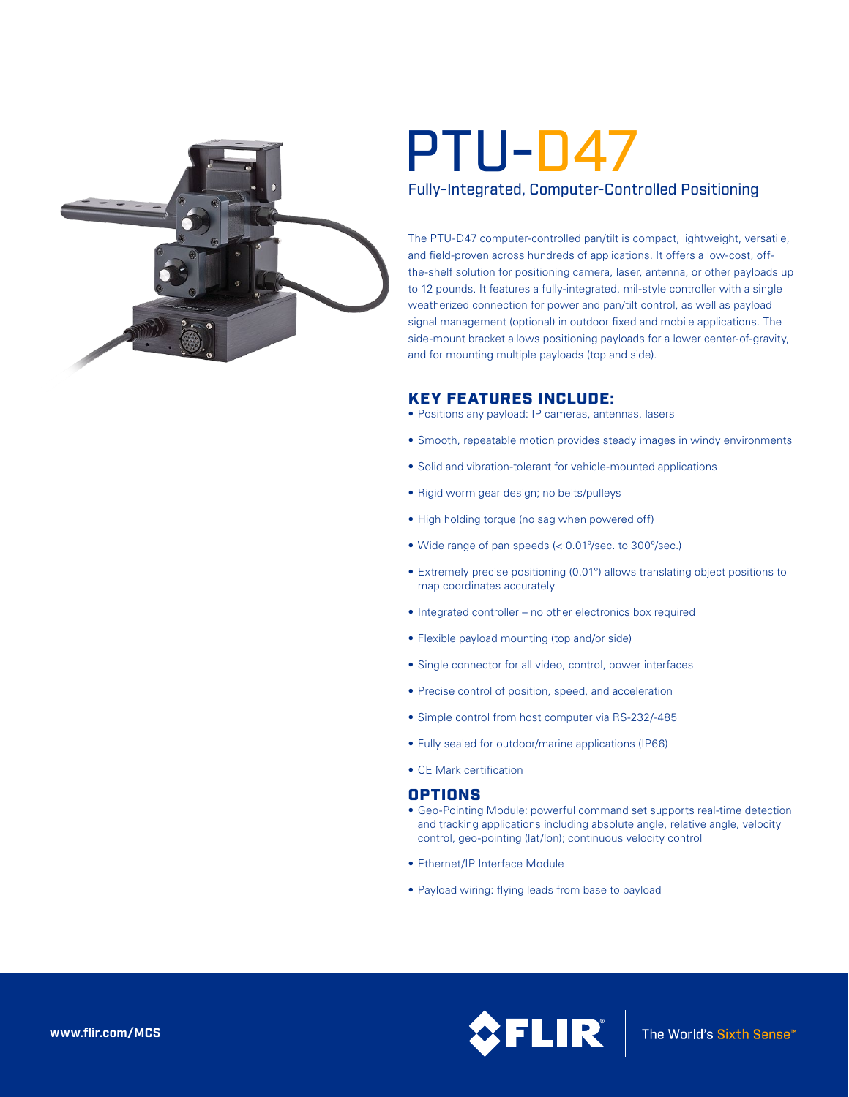

# PTU-D47

## Fully-Integrated, Computer-Controlled Positioning

The PTU-D47 computer-controlled pan/tilt is compact, lightweight, versatile, and field-proven across hundreds of applications. It offers a low-cost, offthe-shelf solution for positioning camera, laser, antenna, or other payloads up to 12 pounds. It features a fully-integrated, mil-style controller with a single weatherized connection for power and pan/tilt control, as well as payload signal management (optional) in outdoor fixed and mobile applications. The side-mount bracket allows positioning payloads for a lower center-of-gravity, and for mounting multiple payloads (top and side).

## KEY FEATURES INCLUDE:

- Positions any payload: IP cameras, antennas, lasers
- Smooth, repeatable motion provides steady images in windy environments
- Solid and vibration-tolerant for vehicle-mounted applications
- Rigid worm gear design; no belts/pulleys
- High holding torque (no sag when powered off)
- • Wide range of pan speeds (< 0.01º/sec. to 300º/sec.)
- Extremely precise positioning (0.01°) allows translating object positions to map coordinates accurately
- Integrated controller no other electronics box required
- Flexible payload mounting (top and/or side)
- • Single connector for all video, control, power interfaces
- Precise control of position, speed, and acceleration
- Simple control from host computer via RS-232/-485
- • Fully sealed for outdoor/marine applications (IP66)
- CE Mark certification

### OPTIONS

- Geo-Pointing Module: powerful command set supports real-time detection and tracking applications including absolute angle, relative angle, velocity control, geo-pointing (lat/lon); continuous velocity control
- Ethernet/IP Interface Module
- Payload wiring: flying leads from base to payload